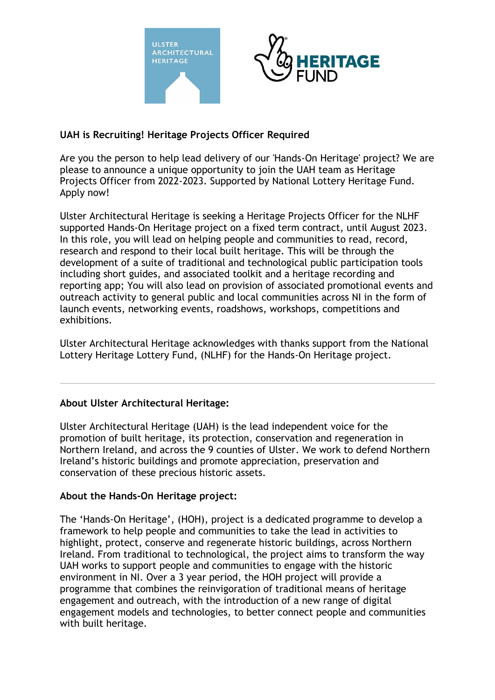



## **UAH is Recruiting! Heritage Projects Officer Required**

Are you the person to help lead delivery of our 'Hands-On Heritage' project? We are please to announce a unique opportunity to join the UAH team as Heritage Projects Officer from 2022-2023. Supported by National Lottery Heritage Fund. Apply now!

Ulster Architectural Heritage is seeking a Heritage Projects Officer for the NLHF supported Hands-On Heritage project on a fixed term contract, until August 2023. In this role, you will lead on helping people and communities to read, record, research and respond to their local built heritage. This will be through the development of a suite of traditional and technological public participation tools including short guides, and associated toolkit and a heritage recording and reporting app; You will also lead on provision of associated promotional events and outreach activity to general public and local communities across NI in the form of launch events, networking events, roadshows, workshops, competitions and exhibitions.

Ulster Architectural Heritage acknowledges with thanks support from the National Lottery Heritage Lottery Fund, (NLHF) for the Hands-On Heritage project.

## **About Ulster Architectural Heritage:**

Ulster Architectural Heritage (UAH) is the lead independent voice for the promotion of built heritage, its protection, conservation and regeneration in Northern Ireland, and across the 9 counties of Ulster. We work to defend Northern Ireland's historic buildings and promote appreciation, preservation and conservation of these precious historic assets.

## **About the Hands-On Heritage project:**

The 'Hands-On Heritage', (HOH), project is a dedicated programme to develop a framework to help people and communities to take the lead in activities to highlight, protect, conserve and regenerate historic buildings, across Northern Ireland. From traditional to technological, the project aims to transform the way UAH works to support people and communities to engage with the historic environment in NI. Over a 3 year period, the HOH project will provide a programme that combines the reinvigoration of traditional means of heritage engagement and outreach, with the introduction of a new range of digital engagement models and technologies, to better connect people and communities with built heritage.